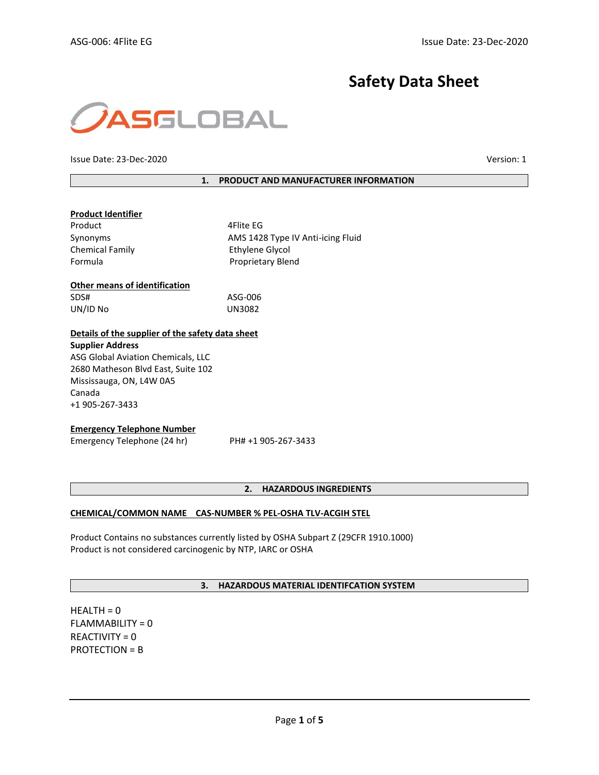# **Safety Data Sheet**



Issue Date: 23-Dec-2020 Version: 1

**1. PRODUCT AND MANUFACTURER INFORMATION**

| <b>Product Identifier</b>                        |                                   |  |  |  |
|--------------------------------------------------|-----------------------------------|--|--|--|
| Product                                          | 4Flite EG                         |  |  |  |
| Synonyms                                         | AMS 1428 Type IV Anti-icing Fluid |  |  |  |
| <b>Chemical Family</b>                           | Ethylene Glycol                   |  |  |  |
| Formula                                          | <b>Proprietary Blend</b>          |  |  |  |
| <b>Other means of identification</b>             |                                   |  |  |  |
| SDS#                                             | ASG-006                           |  |  |  |
| UN/ID No                                         | UN3082                            |  |  |  |
| Details of the supplier of the safety data sheet |                                   |  |  |  |
| <b>Supplier Address</b>                          |                                   |  |  |  |
| ASG Global Aviation Chemicals, LLC               |                                   |  |  |  |
| 2680 Matheson Blvd East, Suite 102               |                                   |  |  |  |
| Mississauga, ON, L4W 0A5                         |                                   |  |  |  |
| Canada                                           |                                   |  |  |  |
| +1 905-267-3433                                  |                                   |  |  |  |
| <b>Emergency Telephone Number</b>                |                                   |  |  |  |
| Emergency Telephone (24 hr)                      | PH# +1 905-267-3433               |  |  |  |

# **2. HAZARDOUS INGREDIENTS**

#### **CHEMICAL/COMMON NAME CAS-NUMBER % PEL-OSHA TLV-ACGIH STEL**

Product Contains no substances currently listed by OSHA Subpart Z (29CFR 1910.1000) Product is not considered carcinogenic by NTP, IARC or OSHA

# **3. HAZARDOUS MATERIAL IDENTIFCATION SYSTEM**

 $HEALTH = 0$ FLAMMABILITY = 0 REACTIVITY = 0 PROTECTION = B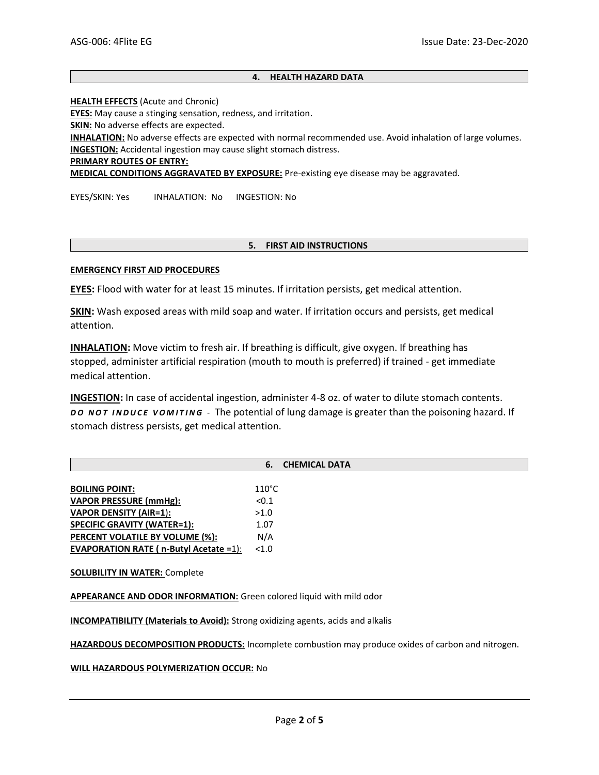# **4. HEALTH HAZARD DATA**

**HEALTH EFFECTS** (Acute and Chronic)

**EYES:** May cause a stinging sensation, redness, and irritation.

**SKIN:** No adverse effects are expected.

**INHALATION:** No adverse effects are expected with normal recommended use. Avoid inhalation of large volumes. **INGESTION:** Accidental ingestion may cause slight stomach distress.

**PRIMARY ROUTES OF ENTRY:**

**MEDICAL CONDITIONS AGGRAVATED BY EXPOSURE:** Pre-existing eye disease may be aggravated.

EYES/SKIN: Yes INHALATION: No INGESTION: No

#### **5. FIRST AID INSTRUCTIONS**

#### **EMERGENCY FIRST AID PROCEDURES**

**EYES:** Flood with water for at least 15 minutes. If irritation persists, get medical attention.

**SKIN:** Wash exposed areas with mild soap and water. If irritation occurs and persists, get medical attention.

**INHALATION:** Move victim to fresh air. If breathing is difficult, give oxygen. If breathing has stopped, administer artificial respiration (mouth to mouth is preferred) if trained - get immediate medical attention.

**INGESTION:** In case of accidental ingestion, administer 4-8 oz. of water to dilute stomach contents. *D O N O T I N D U C E V O M I T I N G -* The potential of lung damage is greater than the poisoning hazard. If stomach distress persists, get medical attention.

| <b>BOILING POINT:</b>                         | $110^{\circ}$ C |
|-----------------------------------------------|-----------------|
| <b>VAPOR PRESSURE (mmHg):</b>                 | < 0.1           |
| <b>VAPOR DENSITY (AIR=1):</b>                 | >1.0            |
| <b>SPECIFIC GRAVITY (WATER=1):</b>            | 1.07            |
| PERCENT VOLATILE BY VOLUME (%):               | N/A             |
| <b>EVAPORATION RATE (n-Butyl Acetate =1):</b> | <1.0            |

**SOLUBILITY IN WATER:** Complete

**APPEARANCE AND ODOR INFORMATION:** Green colored liquid with mild odor

**INCOMPATIBILITY (Materials to Avoid):** Strong oxidizing agents, acids and alkalis

**HAZARDOUS DECOMPOSITION PRODUCTS:** Incomplete combustion may produce oxides of carbon and nitrogen.

**WILL HAZARDOUS POLYMERIZATION OCCUR:** No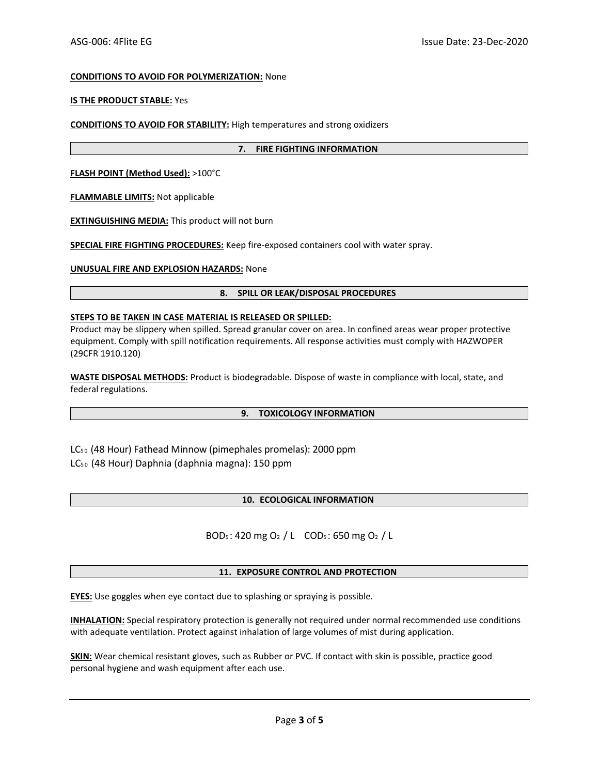## **CONDITIONS TO AVOID FOR POLYMERIZATION:** None

#### **IS THE PRODUCT STABLE:** Yes

**CONDITIONS TO AVOID FOR STABILITY:** High temperatures and strong oxidizers

#### **7. FIRE FIGHTING INFORMATION**

**FLASH POINT (Method Used):** >100°C

**FLAMMABLE LIMITS:** Not applicable

**EXTINGUISHING MEDIA:** This product will not burn

**SPECIAL FIRE FIGHTING PROCEDURES:** Keep fire-exposed containers cool with water spray.

**UNUSUAL FIRE AND EXPLOSION HAZARDS:** None

#### **8. SPILL OR LEAK/DISPOSAL PROCEDURES**

## **STEPS TO BE TAKEN IN CASE MATERIAL IS RELEASED OR SPILLED:**

Product may be slippery when spilled. Spread granular cover on area. In confined areas wear proper protective equipment. Comply with spill notification requirements. All response activities must comply with HAZWOPER (29CFR 1910.120)

**WASTE DISPOSAL METHODS:** Product is biodegradable. Dispose of waste in compliance with local, state, and federal regulations.

#### **9. TOXICOLOGY INFORMATION**

LC5 0 (48 Hour) Fathead Minnow (pimephales promelas): 2000 ppm LC5 0 (48 Hour) Daphnia (daphnia magna): 150 ppm

# **10. ECOLOGICAL INFORMATION**

BOD<sup>5</sup> : 420 mg O<sup>2</sup> / L COD<sup>5</sup> : 650 mg O<sup>2</sup> / L

#### **11. EXPOSURE CONTROL AND PROTECTION**

**EYES:** Use goggles when eye contact due to splashing or spraying is possible.

**INHALATION:** Special respiratory protection is generally not required under normal recommended use conditions with adequate ventilation. Protect against inhalation of large volumes of mist during application.

**SKIN:** Wear chemical resistant gloves, such as Rubber or PVC. If contact with skin is possible, practice good personal hygiene and wash equipment after each use.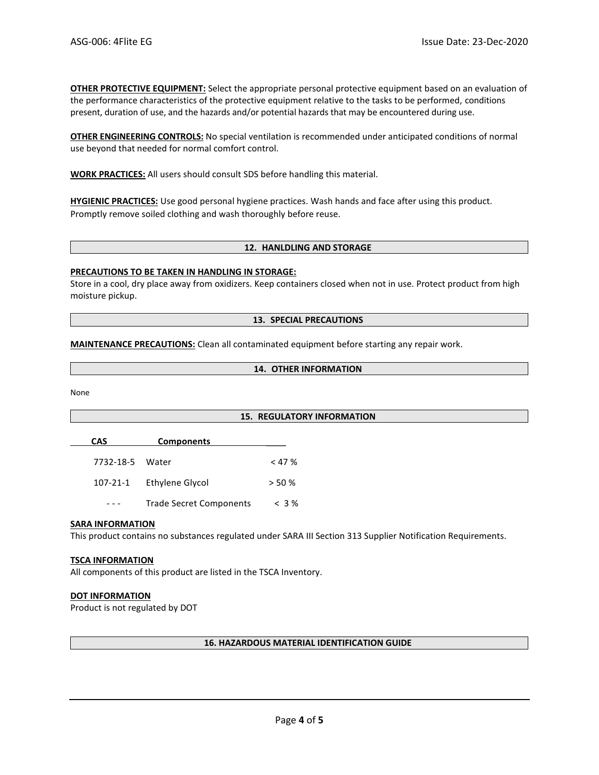**OTHER PROTECTIVE EQUIPMENT:** Select the appropriate personal protective equipment based on an evaluation of the performance characteristics of the protective equipment relative to the tasks to be performed, conditions present, duration of use, and the hazards and/or potential hazards that may be encountered during use.

**OTHER ENGINEERING CONTROLS:** No special ventilation is recommended under anticipated conditions of normal use beyond that needed for normal comfort control.

**WORK PRACTICES:** All users should consult SDS before handling this material.

**HYGIENIC PRACTICES:** Use good personal hygiene practices. Wash hands and face after using this product. Promptly remove soiled clothing and wash thoroughly before reuse.

#### **12. HANLDLING AND STORAGE**

#### **PRECAUTIONS TO BE TAKEN IN HANDLING IN STORAGE:**

Store in a cool, dry place away from oxidizers. Keep containers closed when not in use. Protect product from high moisture pickup.

#### **13. SPECIAL PRECAUTIONS**

#### **MAINTENANCE PRECAUTIONS:** Clean all contaminated equipment before starting any repair work.

**14. OTHER INFORMATION**

None

#### **15. REGULATORY INFORMATION**

**CAS Components** \_\_\_\_

| 7732-18-5 Water |                 | $<$ 47 % |
|-----------------|-----------------|----------|
| 107-21-1        | Ethylene Glycol | $>$ 50 % |

--- Trade Secret Components < 3 %

#### **SARA INFORMATION**

This product contains no substances regulated under SARA III Section 313 Supplier Notification Requirements.

#### **TSCA INFORMATION**

All components of this product are listed in the TSCA Inventory.

#### **DOT INFORMATION**

Product is not regulated by DOT

#### **16. HAZARDOUS MATERIAL IDENTIFICATION GUIDE**